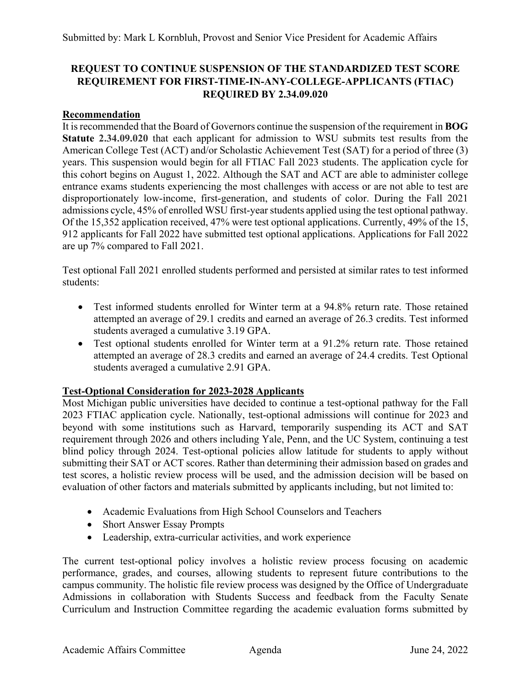## **REQUEST TO CONTINUE SUSPENSION OF THE STANDARDIZED TEST SCORE REQUIREMENT FOR FIRST-TIME-IN-ANY-COLLEGE-APPLICANTS (FTIAC) REQUIRED BY 2.34.09.020**

## **Recommendation**

It is recommended that the Board of Governors continue the suspension of the requirement in **BOG Statute 2.34.09.020** that each applicant for admission to WSU submits test results from the American College Test (ACT) and/or Scholastic Achievement Test (SAT) for a period of three (3) years. This suspension would begin for all FTIAC Fall 2023 students. The application cycle for this cohort begins on August 1, 2022. Although the SAT and ACT are able to administer college entrance exams students experiencing the most challenges with access or are not able to test are disproportionately low-income, first-generation, and students of color. During the Fall 2021 admissions cycle, 45% of enrolled WSU first-year students applied using the test optional pathway. Of the 15,352 application received, 47% were test optional applications. Currently, 49% of the 15, 912 applicants for Fall 2022 have submitted test optional applications. Applications for Fall 2022 are up 7% compared to Fall 2021.

Test optional Fall 2021 enrolled students performed and persisted at similar rates to test informed students:

- Test informed students enrolled for Winter term at a 94.8% return rate. Those retained attempted an average of 29.1 credits and earned an average of 26.3 credits. Test informed students averaged a cumulative 3.19 GPA.
- Test optional students enrolled for Winter term at a 91.2% return rate. Those retained attempted an average of 28.3 credits and earned an average of 24.4 credits. Test Optional students averaged a cumulative 2.91 GPA.

## **Test-Optional Consideration for 2023-2028 Applicants**

Most Michigan public universities have decided to continue a test-optional pathway for the Fall 2023 FTIAC application cycle. Nationally, test-optional admissions will continue for 2023 and beyond with some institutions such as Harvard, temporarily suspending its ACT and SAT requirement through 2026 and others including Yale, Penn, and the UC System, continuing a test blind policy through 2024. Test-optional policies allow latitude for students to apply without submitting their SAT or ACT scores. Rather than determining their admission based on grades and test scores, a holistic review process will be used, and the admission decision will be based on evaluation of other factors and materials submitted by applicants including, but not limited to:

- Academic Evaluations from High School Counselors and Teachers
- Short Answer Essay Prompts
- Leadership, extra-curricular activities, and work experience

The current test-optional policy involves a holistic review process focusing on academic performance, grades, and courses, allowing students to represent future contributions to the campus community. The holistic file review process was designed by the Office of Undergraduate Admissions in collaboration with Students Success and feedback from the Faculty Senate Curriculum and Instruction Committee regarding the academic evaluation forms submitted by